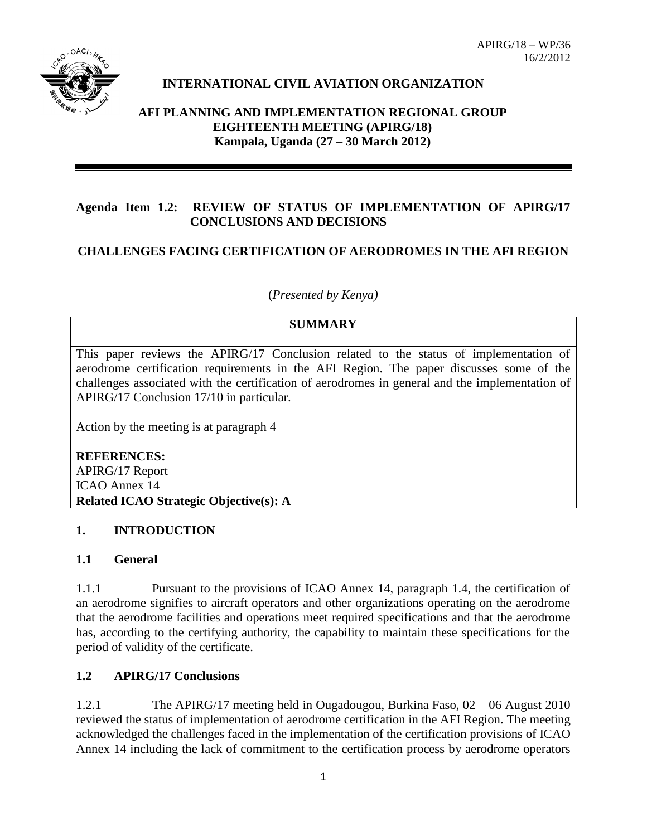APIRG/18 – WP/36 16/2/2012



# **INTERNATIONAL CIVIL AVIATION ORGANIZATION**

#### **AFI PLANNING AND IMPLEMENTATION REGIONAL GROUP EIGHTEENTH MEETING (APIRG/18) Kampala, Uganda (27 – 30 March 2012)**

#### **Agenda Item 1.2: REVIEW OF STATUS OF IMPLEMENTATION OF APIRG/17 CONCLUSIONS AND DECISIONS**

## **CHALLENGES FACING CERTIFICATION OF AERODROMES IN THE AFI REGION**

(*Presented by Kenya)*

## **SUMMARY**

This paper reviews the APIRG/17 Conclusion related to the status of implementation of aerodrome certification requirements in the AFI Region. The paper discusses some of the challenges associated with the certification of aerodromes in general and the implementation of APIRG/17 Conclusion 17/10 in particular.

Action by the meeting is at paragraph 4

#### **REFERENCES:** APIRG/17 Report

ICAO Annex 14

**Related ICAO Strategic Objective(s): A**

#### **1. INTRODUCTION**

#### **1.1 General**

1.1.1 Pursuant to the provisions of ICAO Annex 14, paragraph 1.4, the certification of an aerodrome signifies to aircraft operators and other organizations operating on the aerodrome that the aerodrome facilities and operations meet required specifications and that the aerodrome has, according to the certifying authority, the capability to maintain these specifications for the period of validity of the certificate.

#### **1.2 APIRG/17 Conclusions**

1.2.1 The APIRG/17 meeting held in Ougadougou, Burkina Faso, 02 – 06 August 2010 reviewed the status of implementation of aerodrome certification in the AFI Region. The meeting acknowledged the challenges faced in the implementation of the certification provisions of ICAO Annex 14 including the lack of commitment to the certification process by aerodrome operators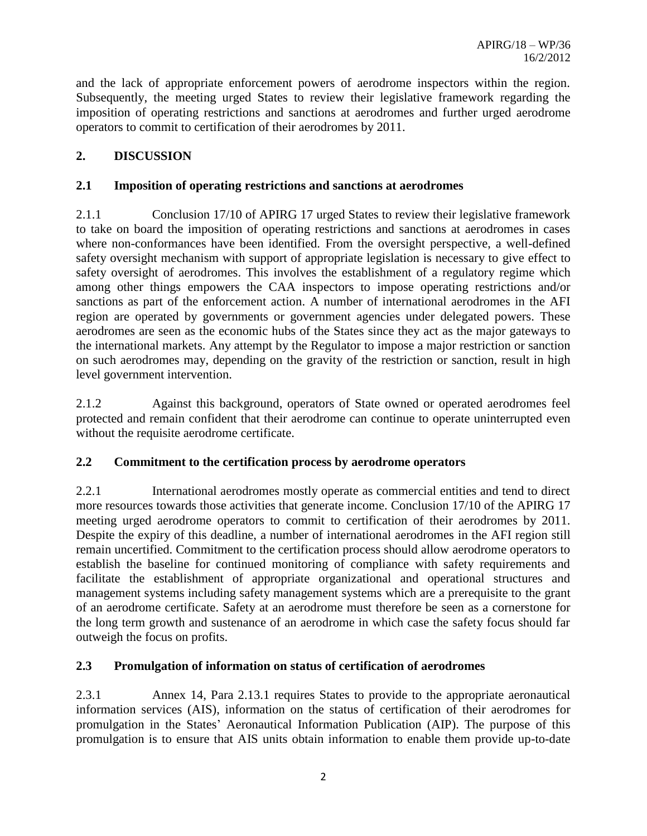and the lack of appropriate enforcement powers of aerodrome inspectors within the region. Subsequently, the meeting urged States to review their legislative framework regarding the imposition of operating restrictions and sanctions at aerodromes and further urged aerodrome operators to commit to certification of their aerodromes by 2011.

# **2. DISCUSSION**

## **2.1 Imposition of operating restrictions and sanctions at aerodromes**

2.1.1 Conclusion 17/10 of APIRG 17 urged States to review their legislative framework to take on board the imposition of operating restrictions and sanctions at aerodromes in cases where non-conformances have been identified. From the oversight perspective, a well-defined safety oversight mechanism with support of appropriate legislation is necessary to give effect to safety oversight of aerodromes. This involves the establishment of a regulatory regime which among other things empowers the CAA inspectors to impose operating restrictions and/or sanctions as part of the enforcement action. A number of international aerodromes in the AFI region are operated by governments or government agencies under delegated powers. These aerodromes are seen as the economic hubs of the States since they act as the major gateways to the international markets. Any attempt by the Regulator to impose a major restriction or sanction on such aerodromes may, depending on the gravity of the restriction or sanction, result in high level government intervention.

2.1.2 Against this background, operators of State owned or operated aerodromes feel protected and remain confident that their aerodrome can continue to operate uninterrupted even without the requisite aerodrome certificate.

# **2.2 Commitment to the certification process by aerodrome operators**

2.2.1 International aerodromes mostly operate as commercial entities and tend to direct more resources towards those activities that generate income. Conclusion 17/10 of the APIRG 17 meeting urged aerodrome operators to commit to certification of their aerodromes by 2011. Despite the expiry of this deadline, a number of international aerodromes in the AFI region still remain uncertified. Commitment to the certification process should allow aerodrome operators to establish the baseline for continued monitoring of compliance with safety requirements and facilitate the establishment of appropriate organizational and operational structures and management systems including safety management systems which are a prerequisite to the grant of an aerodrome certificate. Safety at an aerodrome must therefore be seen as a cornerstone for the long term growth and sustenance of an aerodrome in which case the safety focus should far outweigh the focus on profits.

#### **2.3 Promulgation of information on status of certification of aerodromes**

2.3.1 Annex 14, Para 2.13.1 requires States to provide to the appropriate aeronautical information services (AIS), information on the status of certification of their aerodromes for promulgation in the States' Aeronautical Information Publication (AIP). The purpose of this promulgation is to ensure that AIS units obtain information to enable them provide up-to-date